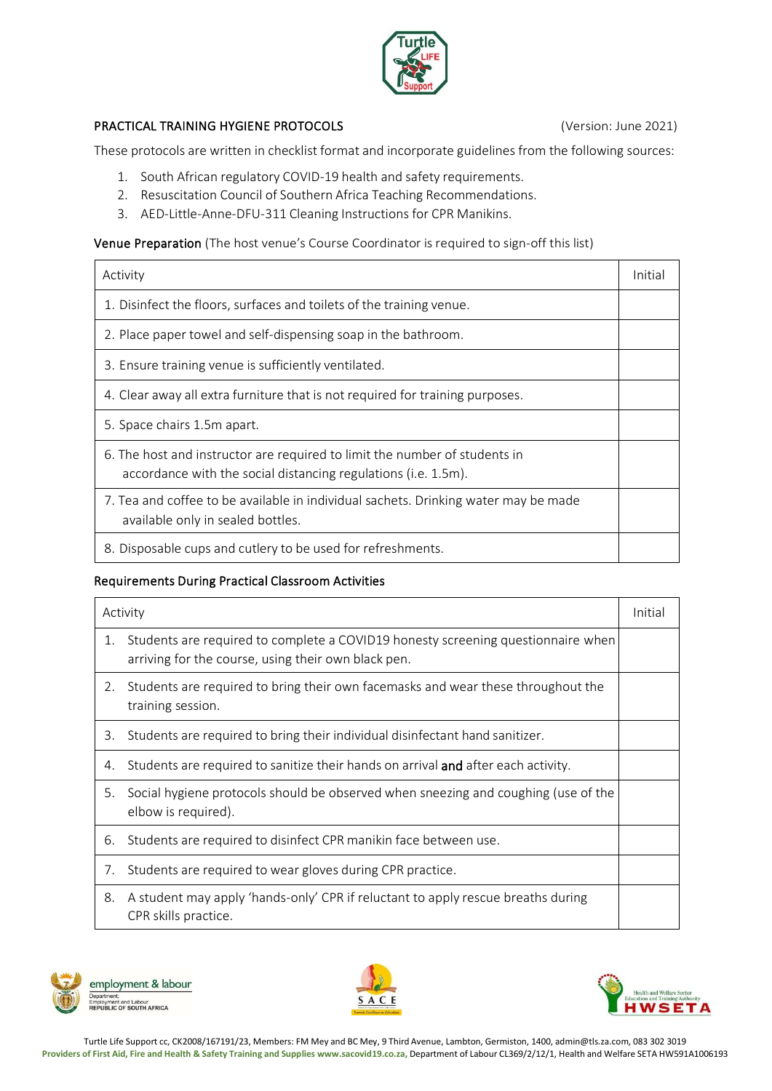

## PRACTICAL TRAINING HYGIENE PROTOCOLS (Version: June 2021)

These protocols are written in checklist format and incorporate guidelines from the following sources:

- 1. South African regulatory COVID-19 health and safety requirements.
- 2. Resuscitation Council of Southern Africa Teaching Recommendations.
- 3. AED-Little-Anne-DFU-311 Cleaning Instructions for CPR Manikins.

Venue Preparation (The host venue's Course Coordinator is required to sign-off this list)

| Activity                                                                                                                                     | Initial |
|----------------------------------------------------------------------------------------------------------------------------------------------|---------|
| 1. Disinfect the floors, surfaces and toilets of the training venue.                                                                         |         |
| 2. Place paper towel and self-dispensing soap in the bathroom.                                                                               |         |
| 3. Ensure training venue is sufficiently ventilated.                                                                                         |         |
| 4. Clear away all extra furniture that is not required for training purposes.                                                                |         |
| 5. Space chairs 1.5m apart.                                                                                                                  |         |
| 6. The host and instructor are required to limit the number of students in<br>accordance with the social distancing regulations (i.e. 1.5m). |         |
| 7. Tea and coffee to be available in individual sachets. Drinking water may be made<br>available only in sealed bottles.                     |         |
| 8. Disposable cups and cutlery to be used for refreshments.                                                                                  |         |

## Requirements During Practical Classroom Activities

| Activity |                                                                                                                                         | Initial |
|----------|-----------------------------------------------------------------------------------------------------------------------------------------|---------|
| 1.       | Students are required to complete a COVID19 honesty screening questionnaire when<br>arriving for the course, using their own black pen. |         |
| 2.       | Students are required to bring their own facemasks and wear these throughout the<br>training session.                                   |         |
| 3.       | Students are required to bring their individual disinfectant hand sanitizer.                                                            |         |
| 4.       | Students are required to sanitize their hands on arrival and after each activity.                                                       |         |
| 5.       | Social hygiene protocols should be observed when sneezing and coughing (use of the<br>elbow is required).                               |         |
| 6.       | Students are required to disinfect CPR manikin face between use.                                                                        |         |
| 7.       | Students are required to wear gloves during CPR practice.                                                                               |         |
| 8.       | A student may apply 'hands-only' CPR if reluctant to apply rescue breaths during<br>CPR skills practice.                                |         |







Turtle Life Support cc, CK2008/167191/23, Members: FM Mey and BC Mey, 9 Third Avenue, Lambton, Germiston, 1400, [admin@tls.za.com,](mailto:admin@tls.za.com) 083 302 3019 Providers of First Aid, Fire and Health & Safety Training and Supplies [www.sacovid19.co.za,](http://www.sacovid19.co.za/) Department of Labour CL369/2/12/1, Health and Welfare SETA HW591A1006193